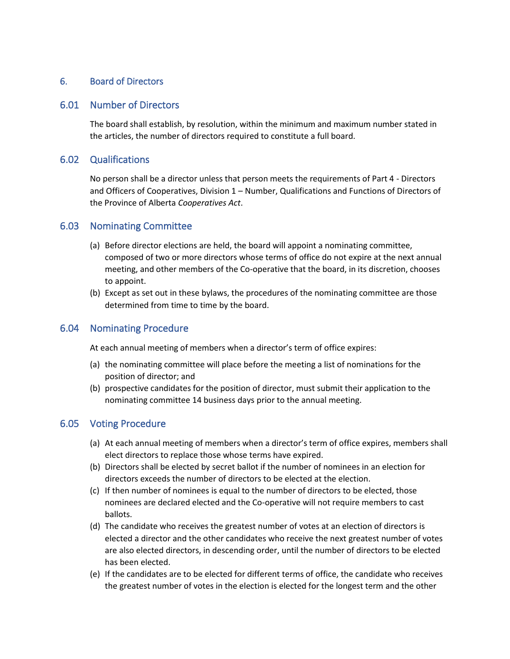### 6. Board of Directors

#### 6.01 Number of Directors

The board shall establish, by resolution, within the minimum and maximum number stated in the articles, the number of directors required to constitute a full board.

#### 6.02 Qualifications

No person shall be a director unless that person meets the requirements of Part 4 - Directors and Officers of Cooperatives, Division 1 – Number, Qualifications and Functions of Directors of the Province of Alberta *Cooperatives Act*.

#### 6.03 Nominating Committee

- (a) Before director elections are held, the board will appoint a nominating committee, composed of two or more directors whose terms of office do not expire at the next annual meeting, and other members of the Co-operative that the board, in its discretion, chooses to appoint.
- (b) Except as set out in these bylaws, the procedures of the nominating committee are those determined from time to time by the board.

#### 6.04 Nominating Procedure

At each annual meeting of members when a director's term of office expires:

- (a) the nominating committee will place before the meeting a list of nominations for the position of director; and
- (b) prospective candidates for the position of director, must submit their application to the nominating committee 14 business days prior to the annual meeting.

#### 6.05 Voting Procedure

- (a) At each annual meeting of members when a director's term of office expires, members shall elect directors to replace those whose terms have expired.
- (b) Directors shall be elected by secret ballot if the number of nominees in an election for directors exceeds the number of directors to be elected at the election.
- (c) If then number of nominees is equal to the number of directors to be elected, those nominees are declared elected and the Co-operative will not require members to cast ballots.
- (d) The candidate who receives the greatest number of votes at an election of directors is elected a director and the other candidates who receive the next greatest number of votes are also elected directors, in descending order, until the number of directors to be elected has been elected.
- (e) If the candidates are to be elected for different terms of office, the candidate who receives the greatest number of votes in the election is elected for the longest term and the other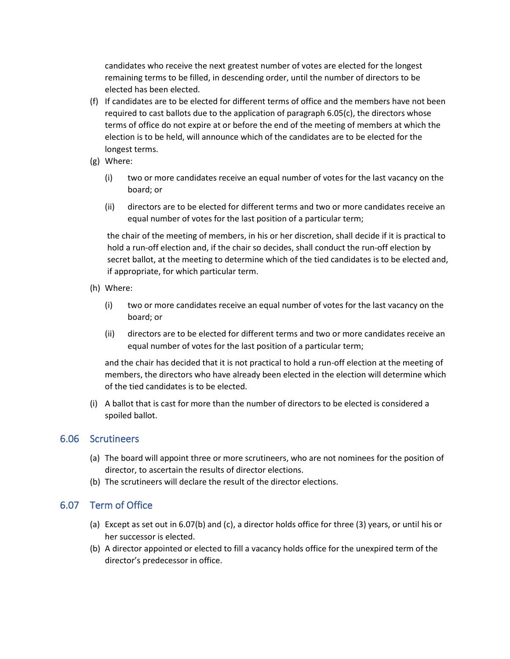candidates who receive the next greatest number of votes are elected for the longest remaining terms to be filled, in descending order, until the number of directors to be elected has been elected.

- (f) If candidates are to be elected for different terms of office and the members have not been required to cast ballots due to the application of paragraph 6.05(c), the directors whose terms of office do not expire at or before the end of the meeting of members at which the election is to be held, will announce which of the candidates are to be elected for the longest terms.
- (g) Where:
	- (i) two or more candidates receive an equal number of votes for the last vacancy on the board; or
	- (ii) directors are to be elected for different terms and two or more candidates receive an equal number of votes for the last position of a particular term;

the chair of the meeting of members, in his or her discretion, shall decide if it is practical to hold a run-off election and, if the chair so decides, shall conduct the run-off election by secret ballot, at the meeting to determine which of the tied candidates is to be elected and, if appropriate, for which particular term.

- (h) Where:
	- (i) two or more candidates receive an equal number of votes for the last vacancy on the board; or
	- (ii) directors are to be elected for different terms and two or more candidates receive an equal number of votes for the last position of a particular term;

and the chair has decided that it is not practical to hold a run-off election at the meeting of members, the directors who have already been elected in the election will determine which of the tied candidates is to be elected.

(i) A ballot that is cast for more than the number of directors to be elected is considered a spoiled ballot.

## 6.06 Scrutineers

- (a) The board will appoint three or more scrutineers, who are not nominees for the position of director, to ascertain the results of director elections.
- (b) The scrutineers will declare the result of the director elections.

# 6.07 Term of Office

- (a) Except as set out in 6.07(b) and (c), a director holds office for three (3) years, or until his or her successor is elected.
- (b) A director appointed or elected to fill a vacancy holds office for the unexpired term of the director's predecessor in office.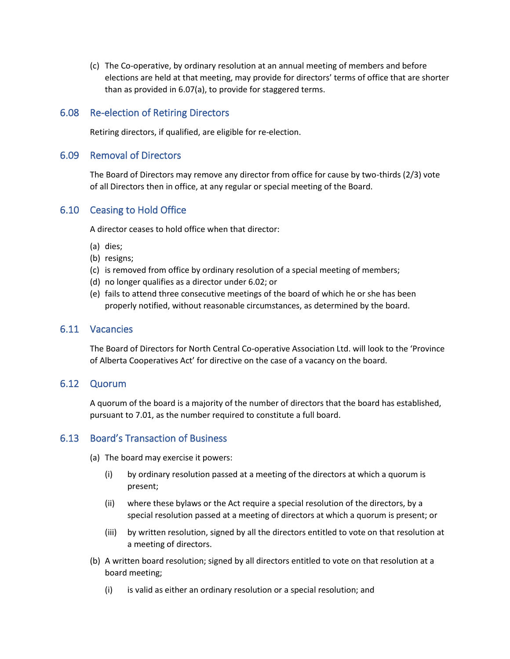(c) The Co-operative, by ordinary resolution at an annual meeting of members and before elections are held at that meeting, may provide for directors' terms of office that are shorter than as provided in 6.07(a), to provide for staggered terms.

## 6.08 Re-election of Retiring Directors

Retiring directors, if qualified, are eligible for re-election.

### 6.09 Removal of Directors

The Board of Directors may remove any director from office for cause by two-thirds (2/3) vote of all Directors then in office, at any regular or special meeting of the Board.

## 6.10 Ceasing to Hold Office

A director ceases to hold office when that director:

- (a) dies;
- (b) resigns;
- (c) is removed from office by ordinary resolution of a special meeting of members;
- (d) no longer qualifies as a director under 6.02; or
- (e) fails to attend three consecutive meetings of the board of which he or she has been properly notified, without reasonable circumstances, as determined by the board.

#### 6.11 Vacancies

The Board of Directors for North Central Co-operative Association Ltd. will look to the 'Province of Alberta Cooperatives Act' for directive on the case of a vacancy on the board.

### 6.12 Quorum

A quorum of the board is a majority of the number of directors that the board has established, pursuant to 7.01, as the number required to constitute a full board.

# 6.13 Board's Transaction of Business

(a) The board may exercise it powers:

- (i) by ordinary resolution passed at a meeting of the directors at which a quorum is present;
- (ii) where these bylaws or the Act require a special resolution of the directors, by a special resolution passed at a meeting of directors at which a quorum is present; or
- (iii) by written resolution, signed by all the directors entitled to vote on that resolution at a meeting of directors.
- (b) A written board resolution; signed by all directors entitled to vote on that resolution at a board meeting;
	- (i) is valid as either an ordinary resolution or a special resolution; and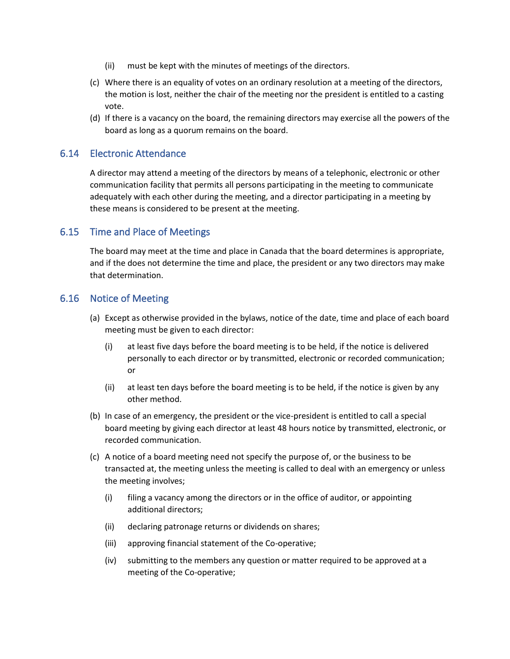- (ii) must be kept with the minutes of meetings of the directors.
- (c) Where there is an equality of votes on an ordinary resolution at a meeting of the directors, the motion is lost, neither the chair of the meeting nor the president is entitled to a casting vote.
- (d) If there is a vacancy on the board, the remaining directors may exercise all the powers of the board as long as a quorum remains on the board.

### 6.14 Electronic Attendance

A director may attend a meeting of the directors by means of a telephonic, electronic or other communication facility that permits all persons participating in the meeting to communicate adequately with each other during the meeting, and a director participating in a meeting by these means is considered to be present at the meeting.

## 6.15 Time and Place of Meetings

The board may meet at the time and place in Canada that the board determines is appropriate, and if the does not determine the time and place, the president or any two directors may make that determination.

### 6.16 Notice of Meeting

- (a) Except as otherwise provided in the bylaws, notice of the date, time and place of each board meeting must be given to each director:
	- (i) at least five days before the board meeting is to be held, if the notice is delivered personally to each director or by transmitted, electronic or recorded communication; or
	- (ii) at least ten days before the board meeting is to be held, if the notice is given by any other method.
- (b) In case of an emergency, the president or the vice-president is entitled to call a special board meeting by giving each director at least 48 hours notice by transmitted, electronic, or recorded communication.
- (c) A notice of a board meeting need not specify the purpose of, or the business to be transacted at, the meeting unless the meeting is called to deal with an emergency or unless the meeting involves;
	- (i) filing a vacancy among the directors or in the office of auditor, or appointing additional directors;
	- (ii) declaring patronage returns or dividends on shares;
	- (iii) approving financial statement of the Co-operative;
	- (iv) submitting to the members any question or matter required to be approved at a meeting of the Co-operative;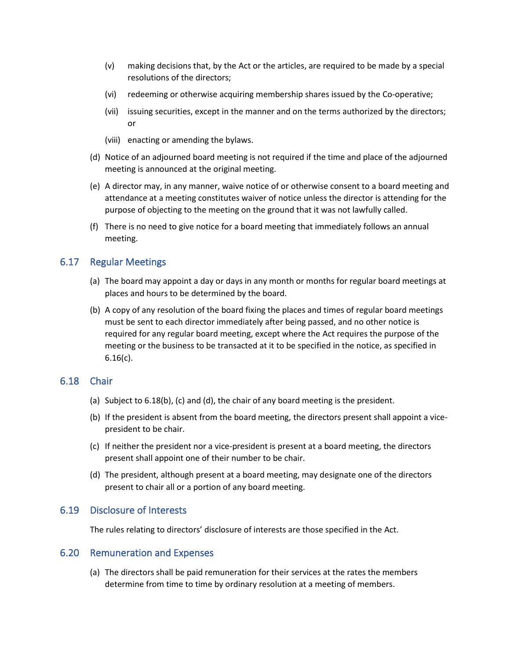- (v) making decisions that, by the Act or the articles, are required to be made by a special resolutions of the directors;
- (vi) redeeming or otherwise acquiring membership shares issued by the Co-operative;
- (vii) issuing securities, except in the manner and on the terms authorized by the directors; or
- (viii) enacting or amending the bylaws.
- (d) Notice of an adjourned board meeting is not required if the time and place of the adjourned meeting is announced at the original meeting.
- (e) A director may, in any manner, waive notice of or otherwise consent to a board meeting and attendance at a meeting constitutes waiver of notice unless the director is attending for the purpose of objecting to the meeting on the ground that it was not lawfully called.
- (f) There is no need to give notice for a board meeting that immediately follows an annual meeting.

### 6.17 Regular Meetings

- (a) The board may appoint a day or days in any month or months for regular board meetings at places and hours to be determined by the board.
- (b) A copy of any resolution of the board fixing the places and times of regular board meetings must be sent to each director immediately after being passed, and no other notice is required for any regular board meeting, except where the Act requires the purpose of the meeting or the business to be transacted at it to be specified in the notice, as specified in 6.16(c).

### 6.18 Chair

- (a) Subject to 6.18(b), (c) and (d), the chair of any board meeting is the president.
- (b) If the president is absent from the board meeting, the directors present shall appoint a vicepresident to be chair.
- (c) If neither the president nor a vice-president is present at a board meeting, the directors present shall appoint one of their number to be chair.
- (d) The president, although present at a board meeting, may designate one of the directors present to chair all or a portion of any board meeting.

### 6.19 Disclosure of Interests

The rules relating to directors' disclosure of interests are those specified in the Act.

#### 6.20 Remuneration and Expenses

(a) The directors shall be paid remuneration for their services at the rates the members determine from time to time by ordinary resolution at a meeting of members.